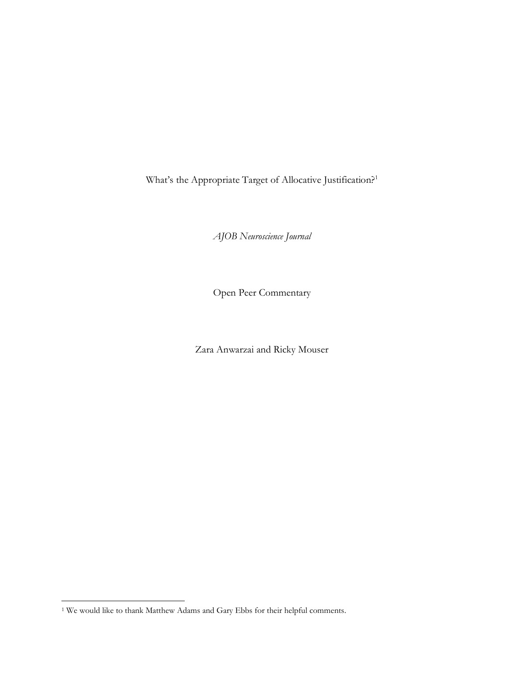What's the Appropriate Target of Allocative Justification?<sup>1</sup>

*AJOB Neuroscience Journal*

Open Peer Commentary

Zara Anwarzai and Ricky Mouser

<sup>1</sup> We would like to thank Matthew Adams and Gary Ebbs for their helpful comments.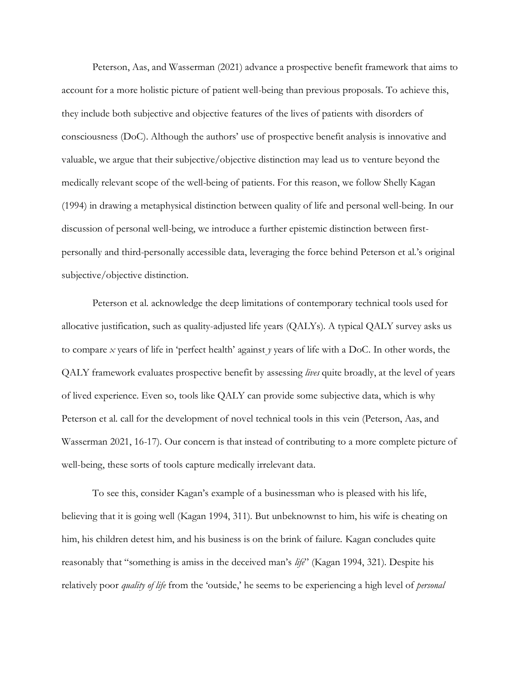Peterson, Aas, and Wasserman (2021) advance a prospective benefit framework that aims to account for a more holistic picture of patient well-being than previous proposals. To achieve this, they include both subjective and objective features of the lives of patients with disorders of consciousness (DoC). Although the authors' use of prospective benefit analysis is innovative and valuable, we argue that their subjective/objective distinction may lead us to venture beyond the medically relevant scope of the well-being of patients. For this reason, we follow Shelly Kagan (1994) in drawing a metaphysical distinction between quality of life and personal well-being. In our discussion of personal well-being, we introduce a further epistemic distinction between firstpersonally and third-personally accessible data, leveraging the force behind Peterson et al.'s original subjective/objective distinction.

Peterson et al. acknowledge the deep limitations of contemporary technical tools used for allocative justification, such as quality-adjusted life years (QALYs). A typical QALY survey asks us to compare *x* years of life in 'perfect health' against *y* years of life with a DoC. In other words, the QALY framework evaluates prospective benefit by assessing *lives* quite broadly, at the level of years of lived experience. Even so, tools like QALY can provide some subjective data, which is why Peterson et al. call for the development of novel technical tools in this vein (Peterson, Aas, and Wasserman 2021, 16-17). Our concern is that instead of contributing to a more complete picture of well-being, these sorts of tools capture medically irrelevant data.

To see this, consider Kagan's example of a businessman who is pleased with his life, believing that it is going well (Kagan 1994, 311). But unbeknownst to him, his wife is cheating on him, his children detest him, and his business is on the brink of failure. Kagan concludes quite reasonably that "something is amiss in the deceived man's *life*" (Kagan 1994, 321). Despite his relatively poor *quality of life* from the 'outside,' he seems to be experiencing a high level of *personal*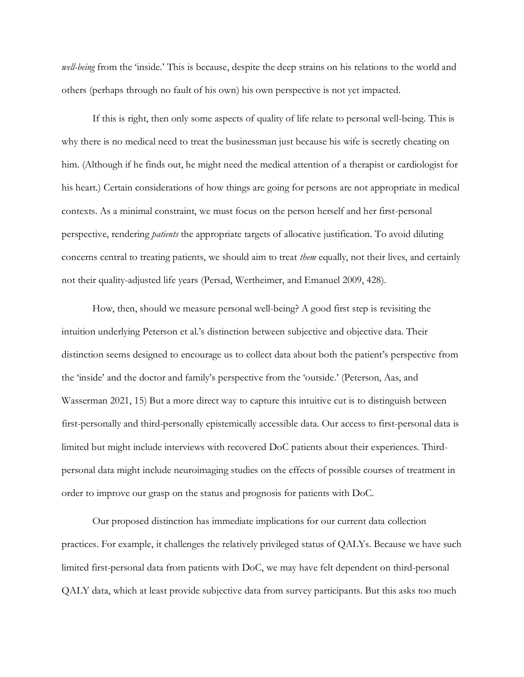*well-being* from the 'inside.' This is because, despite the deep strains on his relations to the world and others (perhaps through no fault of his own) his own perspective is not yet impacted.

If this is right, then only some aspects of quality of life relate to personal well-being. This is why there is no medical need to treat the businessman just because his wife is secretly cheating on him. (Although if he finds out, he might need the medical attention of a therapist or cardiologist for his heart.) Certain considerations of how things are going for persons are not appropriate in medical contexts. As a minimal constraint, we must focus on the person herself and her first-personal perspective, rendering *patients* the appropriate targets of allocative justification. To avoid diluting concerns central to treating patients, we should aim to treat *them* equally, not their lives, and certainly not their quality-adjusted life years (Persad, Wertheimer, and Emanuel 2009, 428).

How, then, should we measure personal well-being? A good first step is revisiting the intuition underlying Peterson et al.'s distinction between subjective and objective data. Their distinction seems designed to encourage us to collect data about both the patient's perspective from the 'inside' and the doctor and family's perspective from the 'outside.' (Peterson, Aas, and Wasserman 2021, 15) But a more direct way to capture this intuitive cut is to distinguish between first-personally and third-personally epistemically accessible data. Our access to first-personal data is limited but might include interviews with recovered DoC patients about their experiences. Thirdpersonal data might include neuroimaging studies on the effects of possible courses of treatment in order to improve our grasp on the status and prognosis for patients with DoC.

Our proposed distinction has immediate implications for our current data collection practices. For example, it challenges the relatively privileged status of QALYs. Because we have such limited first-personal data from patients with DoC, we may have felt dependent on third-personal QALY data, which at least provide subjective data from survey participants. But this asks too much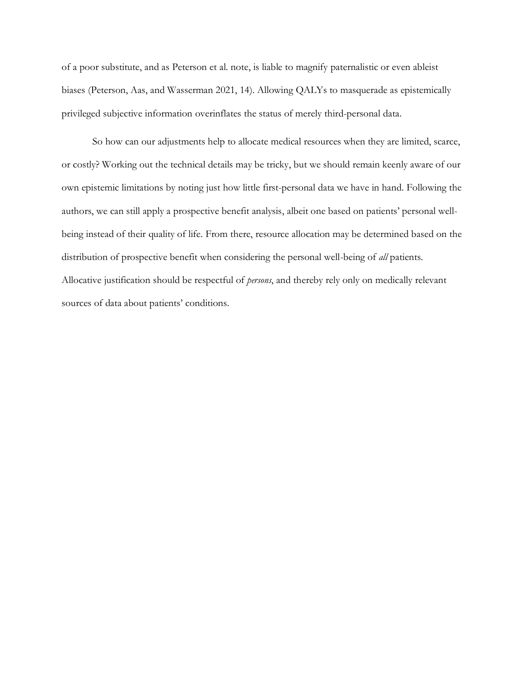of a poor substitute, and as Peterson et al. note, is liable to magnify paternalistic or even ableist biases (Peterson, Aas, and Wasserman 2021, 14). Allowing QALYs to masquerade as epistemically privileged subjective information overinflates the status of merely third-personal data.

So how can our adjustments help to allocate medical resources when they are limited, scarce, or costly? Working out the technical details may be tricky, but we should remain keenly aware of our own epistemic limitations by noting just how little first-personal data we have in hand. Following the authors, we can still apply a prospective benefit analysis, albeit one based on patients' personal wellbeing instead of their quality of life. From there, resource allocation may be determined based on the distribution of prospective benefit when considering the personal well-being of *all* patients. Allocative justification should be respectful of *persons*, and thereby rely only on medically relevant sources of data about patients' conditions.